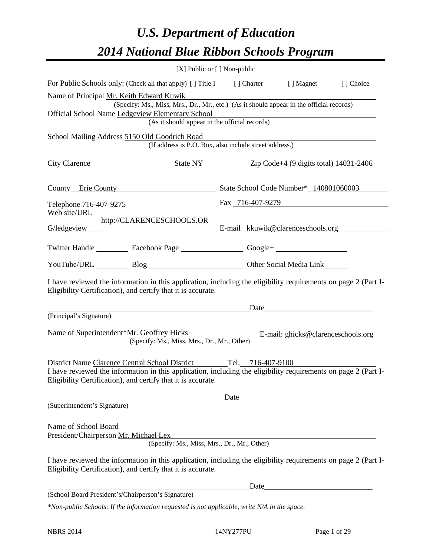# *U.S. Department of Education 2014 National Blue Ribbon Schools Program*

|                                                                                                                                                                                                                                                    | [X] Public or [] Non-public                                                                                                                                      |                                   |  |  |  |  |  |  |
|----------------------------------------------------------------------------------------------------------------------------------------------------------------------------------------------------------------------------------------------------|------------------------------------------------------------------------------------------------------------------------------------------------------------------|-----------------------------------|--|--|--|--|--|--|
| For Public Schools only: (Check all that apply) [ ] Title I [ ] Charter [ ] Magnet [ ] Choice                                                                                                                                                      |                                                                                                                                                                  |                                   |  |  |  |  |  |  |
| Name of Principal Mr. Keith Edward Kuwik<br>Official School Name Ledgeview Elementary School                                                                                                                                                       | (Specify: Ms., Miss, Mrs., Dr., Mr., etc.) (As it should appear in the official records)<br>w Elementary School<br>(As it should appear in the official records) |                                   |  |  |  |  |  |  |
| School Mailing Address 5150 Old Goodrich Road                                                                                                                                                                                                      | (If address is P.O. Box, also include street address.)                                                                                                           |                                   |  |  |  |  |  |  |
| City Clarence State NY State NY 2ip Code+4 (9 digits total) 14031-2406                                                                                                                                                                             |                                                                                                                                                                  |                                   |  |  |  |  |  |  |
|                                                                                                                                                                                                                                                    | County Erie County State School Code Number* 140801060003                                                                                                        |                                   |  |  |  |  |  |  |
| Telephone 716-407-9275                                                                                                                                                                                                                             |                                                                                                                                                                  | Fax 716-407-9279                  |  |  |  |  |  |  |
| Web site/URL<br>G/ledgeview                                                                                                                                                                                                                        | http://CLARENCESCHOOLS.OR                                                                                                                                        | E-mail kkuwik@clarenceschools.org |  |  |  |  |  |  |
| Twitter Handle ___________ Facebook Page ____________________ Google+ ___________                                                                                                                                                                  |                                                                                                                                                                  |                                   |  |  |  |  |  |  |
| YouTube/URL Blog Blog Discount Other Social Media Link                                                                                                                                                                                             |                                                                                                                                                                  |                                   |  |  |  |  |  |  |
| I have reviewed the information in this application, including the eligibility requirements on page 2 (Part I-<br>Eligibility Certification), and certify that it is accurate.                                                                     |                                                                                                                                                                  |                                   |  |  |  |  |  |  |
|                                                                                                                                                                                                                                                    |                                                                                                                                                                  | <u>Date</u>                       |  |  |  |  |  |  |
| (Principal's Signature)<br>Name of Superintendent*Mr. Geoffrey Hicks E-mail: ghicks@clarenceschools.org                                                                                                                                            | (Specify: Ms., Miss, Mrs., Dr., Mr., Other)                                                                                                                      |                                   |  |  |  |  |  |  |
| District Name Clarence Central School District Tel. 716-407-9100<br>I have reviewed the information in this application, including the eligibility requirements on page 2 (Part I-<br>Eligibility Certification), and certify that it is accurate. |                                                                                                                                                                  |                                   |  |  |  |  |  |  |
| (Superintendent's Signature)                                                                                                                                                                                                                       |                                                                                                                                                                  | Date                              |  |  |  |  |  |  |
| Name of School Board<br>President/Chairperson Mr. Michael Lex<br>I have reviewed the information in this application, including the eligibility requirements on page 2 (Part I-<br>Eligibility Certification), and certify that it is accurate.    | (Specify: Ms., Miss, Mrs., Dr., Mr., Other)                                                                                                                      |                                   |  |  |  |  |  |  |
|                                                                                                                                                                                                                                                    |                                                                                                                                                                  | Date                              |  |  |  |  |  |  |
| (School Board President's/Chairperson's Signature)                                                                                                                                                                                                 |                                                                                                                                                                  |                                   |  |  |  |  |  |  |
| *Non-public Schools: If the information requested is not applicable, write N/A in the space.                                                                                                                                                       |                                                                                                                                                                  |                                   |  |  |  |  |  |  |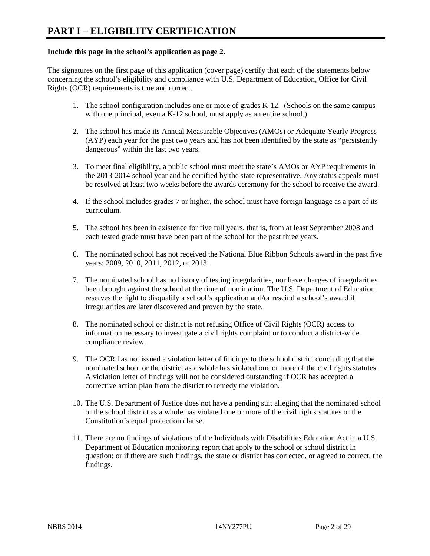#### **Include this page in the school's application as page 2.**

The signatures on the first page of this application (cover page) certify that each of the statements below concerning the school's eligibility and compliance with U.S. Department of Education, Office for Civil Rights (OCR) requirements is true and correct.

- 1. The school configuration includes one or more of grades K-12. (Schools on the same campus with one principal, even a K-12 school, must apply as an entire school.)
- 2. The school has made its Annual Measurable Objectives (AMOs) or Adequate Yearly Progress (AYP) each year for the past two years and has not been identified by the state as "persistently dangerous" within the last two years.
- 3. To meet final eligibility, a public school must meet the state's AMOs or AYP requirements in the 2013-2014 school year and be certified by the state representative. Any status appeals must be resolved at least two weeks before the awards ceremony for the school to receive the award.
- 4. If the school includes grades 7 or higher, the school must have foreign language as a part of its curriculum.
- 5. The school has been in existence for five full years, that is, from at least September 2008 and each tested grade must have been part of the school for the past three years.
- 6. The nominated school has not received the National Blue Ribbon Schools award in the past five years: 2009, 2010, 2011, 2012, or 2013.
- 7. The nominated school has no history of testing irregularities, nor have charges of irregularities been brought against the school at the time of nomination. The U.S. Department of Education reserves the right to disqualify a school's application and/or rescind a school's award if irregularities are later discovered and proven by the state.
- 8. The nominated school or district is not refusing Office of Civil Rights (OCR) access to information necessary to investigate a civil rights complaint or to conduct a district-wide compliance review.
- 9. The OCR has not issued a violation letter of findings to the school district concluding that the nominated school or the district as a whole has violated one or more of the civil rights statutes. A violation letter of findings will not be considered outstanding if OCR has accepted a corrective action plan from the district to remedy the violation.
- 10. The U.S. Department of Justice does not have a pending suit alleging that the nominated school or the school district as a whole has violated one or more of the civil rights statutes or the Constitution's equal protection clause.
- 11. There are no findings of violations of the Individuals with Disabilities Education Act in a U.S. Department of Education monitoring report that apply to the school or school district in question; or if there are such findings, the state or district has corrected, or agreed to correct, the findings.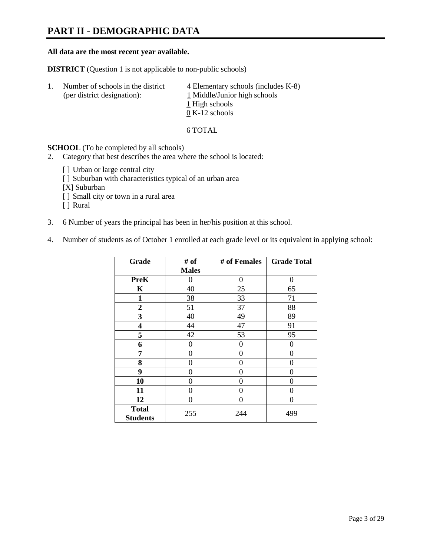# **PART II - DEMOGRAPHIC DATA**

#### **All data are the most recent year available.**

**DISTRICT** (Question 1 is not applicable to non-public schools)

| -1. | Number of schools in the district<br>(per district designation): | $\frac{4}{5}$ Elementary schools (includes K-8)<br>1 Middle/Junior high schools |  |  |
|-----|------------------------------------------------------------------|---------------------------------------------------------------------------------|--|--|
|     |                                                                  | 1 High schools                                                                  |  |  |
|     |                                                                  | $0 K-12$ schools                                                                |  |  |

6 TOTAL

**SCHOOL** (To be completed by all schools)

- 2. Category that best describes the area where the school is located:
	- [] Urban or large central city
	- [ ] Suburban with characteristics typical of an urban area
	- [X] Suburban
	- [ ] Small city or town in a rural area
	- [ ] Rural
- 3. 6 Number of years the principal has been in her/his position at this school.
- 4. Number of students as of October 1 enrolled at each grade level or its equivalent in applying school:

| Grade                           | # of         | # of Females | <b>Grade Total</b> |
|---------------------------------|--------------|--------------|--------------------|
|                                 | <b>Males</b> |              |                    |
| <b>PreK</b>                     | 0            | $\theta$     | $\Omega$           |
| K                               | 40           | 25           | 65                 |
| $\mathbf{1}$                    | 38           | 33           | 71                 |
| $\overline{2}$                  | 51           | 37           | 88                 |
| 3                               | 40           | 49           | 89                 |
| 4                               | 44           | 47           | 91                 |
| 5                               | 42           | 53           | 95                 |
| 6                               | 0            | 0            | $\theta$           |
| 7                               | 0            | 0            | 0                  |
| 8                               | 0            | 0            | 0                  |
| 9                               | 0            | 0            | 0                  |
| 10                              | 0            | 0            | 0                  |
| 11                              | 0            | 0            | 0                  |
| 12                              | 0            | $\theta$     | 0                  |
| <b>Total</b><br><b>Students</b> | 255          | 244          | 499                |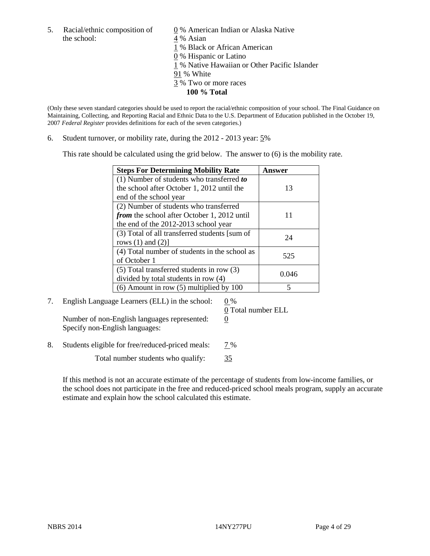- the school: 4 % Asian
- 5. Racial/ethnic composition of  $\qquad \qquad \underline{0}$  % American Indian or Alaska Native
	-
	- 1 % Black or African American
	- 0 % Hispanic or Latino
	- 1 % Native Hawaiian or Other Pacific Islander
	- 91 % White
	- 3 % Two or more races
		- **100 % Total**

(Only these seven standard categories should be used to report the racial/ethnic composition of your school. The Final Guidance on Maintaining, Collecting, and Reporting Racial and Ethnic Data to the U.S. Department of Education published in the October 19, 2007 *Federal Register* provides definitions for each of the seven categories.)

6. Student turnover, or mobility rate, during the 2012 - 2013 year: 5%

This rate should be calculated using the grid below. The answer to (6) is the mobility rate.

| <b>Steps For Determining Mobility Rate</b>         | <b>Answer</b> |
|----------------------------------------------------|---------------|
| (1) Number of students who transferred to          |               |
| the school after October 1, 2012 until the         | 13            |
| end of the school year                             |               |
| (2) Number of students who transferred             |               |
| <i>from</i> the school after October 1, 2012 until |               |
| the end of the 2012-2013 school year               |               |
| (3) Total of all transferred students [sum of      | 24            |
| rows $(1)$ and $(2)$ ]                             |               |
| (4) Total number of students in the school as      | 525           |
| of October 1                                       |               |
| (5) Total transferred students in row (3)          | 0.046         |
| divided by total students in row (4)               |               |
| $(6)$ Amount in row $(5)$ multiplied by 100        |               |

7. English Language Learners (ELL) in the school:  $0\%$ Number of non-English languages represented:  $0$ 

0 Total number ELL

Specify non-English languages:

8. Students eligible for free/reduced-priced meals: 7%

Total number students who qualify:  $\frac{35}{35}$ 

If this method is not an accurate estimate of the percentage of students from low-income families, or the school does not participate in the free and reduced-priced school meals program, supply an accurate estimate and explain how the school calculated this estimate.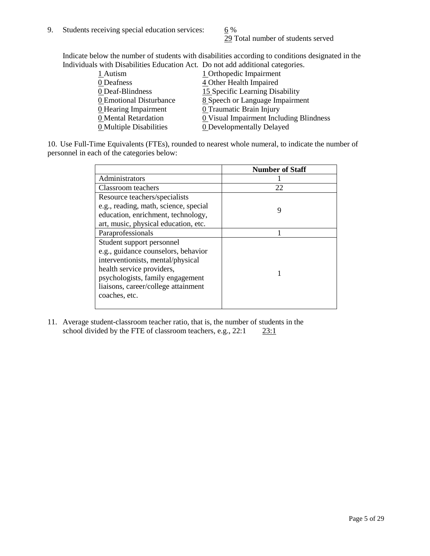29 Total number of students served

Indicate below the number of students with disabilities according to conditions designated in the Individuals with Disabilities Education Act. Do not add additional categories.

| $11.2311$ as absolutely as well well below as $0.11$ and $0.11$ or the second second second well well well as $0.11$ |                                                       |
|----------------------------------------------------------------------------------------------------------------------|-------------------------------------------------------|
| 1 Autism                                                                                                             | 1 Orthopedic Impairment                               |
| 0 Deafness                                                                                                           | 4 Other Health Impaired                               |
| 0 Deaf-Blindness                                                                                                     | 15 Specific Learning Disability                       |
| 0 Emotional Disturbance                                                                                              | 8 Speech or Language Impairment                       |
| 0 Hearing Impairment                                                                                                 | 0 Traumatic Brain Injury                              |
| 0 Mental Retardation                                                                                                 | $\underline{0}$ Visual Impairment Including Blindness |
| 0 Multiple Disabilities                                                                                              | <b>0</b> Developmentally Delayed                      |
|                                                                                                                      |                                                       |

10. Use Full-Time Equivalents (FTEs), rounded to nearest whole numeral, to indicate the number of personnel in each of the categories below:

|                                       | <b>Number of Staff</b> |
|---------------------------------------|------------------------|
| Administrators                        |                        |
| Classroom teachers                    | 22                     |
| Resource teachers/specialists         |                        |
| e.g., reading, math, science, special | 9                      |
| education, enrichment, technology,    |                        |
| art, music, physical education, etc.  |                        |
| Paraprofessionals                     |                        |
| Student support personnel             |                        |
| e.g., guidance counselors, behavior   |                        |
| interventionists, mental/physical     |                        |
| health service providers,             |                        |
| psychologists, family engagement      |                        |
| liaisons, career/college attainment   |                        |
| coaches, etc.                         |                        |
|                                       |                        |

11. Average student-classroom teacher ratio, that is, the number of students in the school divided by the FTE of classroom teachers, e.g.,  $22:1$   $23:1$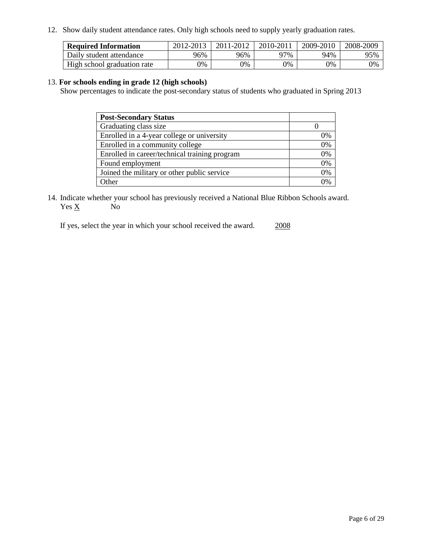12. Show daily student attendance rates. Only high schools need to supply yearly graduation rates.

| <b>Required Information</b> | 2012-2013 | 2011-2012 | 2010-2011 | 2009-2010 | 2008-2009 |
|-----------------------------|-----------|-----------|-----------|-----------|-----------|
| Daily student attendance    | 96%       | 96%       | ን7%       | 94%       | 95%       |
| High school graduation rate | 0%        | 0%        | 0%        | 0%        | 0%        |

#### 13. **For schools ending in grade 12 (high schools)**

Show percentages to indicate the post-secondary status of students who graduated in Spring 2013

| <b>Post-Secondary Status</b>                  |    |
|-----------------------------------------------|----|
| Graduating class size                         |    |
| Enrolled in a 4-year college or university    | 0% |
| Enrolled in a community college               | 0% |
| Enrolled in career/technical training program | 0% |
| Found employment                              | 0% |
| Joined the military or other public service   | 0% |
| <b>Other</b>                                  | 0/ |

14. Indicate whether your school has previously received a National Blue Ribbon Schools award.  $Yes \underline{X}$  No

If yes, select the year in which your school received the award. 2008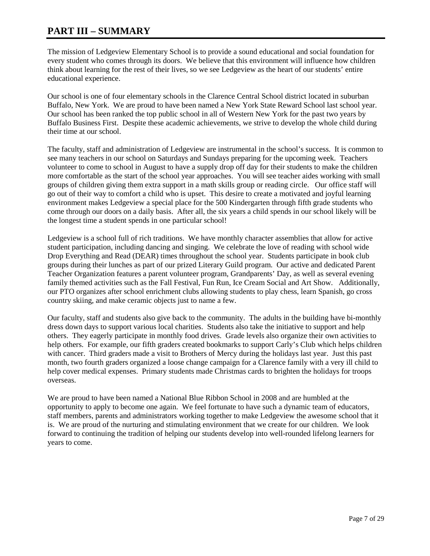# **PART III – SUMMARY**

The mission of Ledgeview Elementary School is to provide a sound educational and social foundation for every student who comes through its doors. We believe that this environment will influence how children think about learning for the rest of their lives, so we see Ledgeview as the heart of our students' entire educational experience.

Our school is one of four elementary schools in the Clarence Central School district located in suburban Buffalo, New York. We are proud to have been named a New York State Reward School last school year. Our school has been ranked the top public school in all of Western New York for the past two years by Buffalo Business First. Despite these academic achievements, we strive to develop the whole child during their time at our school.

The faculty, staff and administration of Ledgeview are instrumental in the school's success. It is common to see many teachers in our school on Saturdays and Sundays preparing for the upcoming week. Teachers volunteer to come to school in August to have a supply drop off day for their students to make the children more comfortable as the start of the school year approaches. You will see teacher aides working with small groups of children giving them extra support in a math skills group or reading circle. Our office staff will go out of their way to comfort a child who is upset. This desire to create a motivated and joyful learning environment makes Ledgeview a special place for the 500 Kindergarten through fifth grade students who come through our doors on a daily basis. After all, the six years a child spends in our school likely will be the longest time a student spends in one particular school!

Ledgeview is a school full of rich traditions. We have monthly character assemblies that allow for active student participation, including dancing and singing. We celebrate the love of reading with school wide Drop Everything and Read (DEAR) times throughout the school year. Students participate in book club groups during their lunches as part of our prized Literary Guild program. Our active and dedicated Parent Teacher Organization features a parent volunteer program, Grandparents' Day, as well as several evening family themed activities such as the Fall Festival, Fun Run, Ice Cream Social and Art Show. Additionally, our PTO organizes after school enrichment clubs allowing students to play chess, learn Spanish, go cross country skiing, and make ceramic objects just to name a few.

Our faculty, staff and students also give back to the community. The adults in the building have bi-monthly dress down days to support various local charities. Students also take the initiative to support and help others. They eagerly participate in monthly food drives. Grade levels also organize their own activities to help others. For example, our fifth graders created bookmarks to support Carly's Club which helps children with cancer. Third graders made a visit to Brothers of Mercy during the holidays last year. Just this past month, two fourth graders organized a loose change campaign for a Clarence family with a very ill child to help cover medical expenses. Primary students made Christmas cards to brighten the holidays for troops overseas.

We are proud to have been named a National Blue Ribbon School in 2008 and are humbled at the opportunity to apply to become one again. We feel fortunate to have such a dynamic team of educators, staff members, parents and administrators working together to make Ledgeview the awesome school that it is. We are proud of the nurturing and stimulating environment that we create for our children. We look forward to continuing the tradition of helping our students develop into well-rounded lifelong learners for years to come.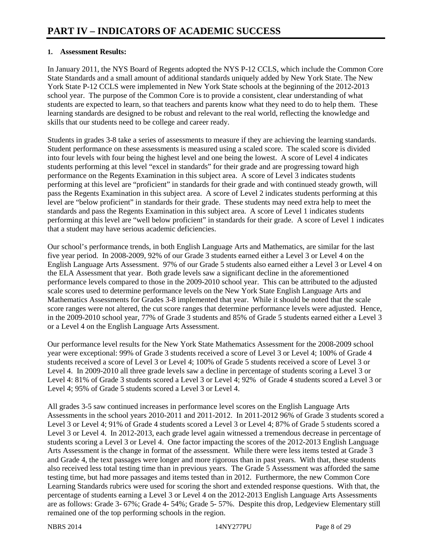### **1. Assessment Results:**

In January 2011, the NYS Board of Regents adopted the NYS P-12 CCLS, which include the Common Core State Standards and a small amount of additional standards uniquely added by New York State. The New York State P-12 CCLS were implemented in New York State schools at the beginning of the 2012-2013 school year. The purpose of the Common Core is to provide a consistent, clear understanding of what students are expected to learn, so that teachers and parents know what they need to do to help them. These learning standards are designed to be robust and relevant to the real world, reflecting the knowledge and skills that our students need to be college and career ready.

Students in grades 3-8 take a series of assessments to measure if they are achieving the learning standards. Student performance on these assessments is measured using a scaled score. The scaled score is divided into four levels with four being the highest level and one being the lowest. A score of Level 4 indicates students performing at this level "excel in standards" for their grade and are progressing toward high performance on the Regents Examination in this subject area. A score of Level 3 indicates students performing at this level are "proficient" in standards for their grade and with continued steady growth, will pass the Regents Examination in this subject area. A score of Level 2 indicates students performing at this level are "below proficient" in standards for their grade. These students may need extra help to meet the standards and pass the Regents Examination in this subject area. A score of Level 1 indicates students performing at this level are "well below proficient" in standards for their grade. A score of Level 1 indicates that a student may have serious academic deficiencies.

Our school's performance trends, in both English Language Arts and Mathematics, are similar for the last five year period. In 2008-2009, 92% of our Grade 3 students earned either a Level 3 or Level 4 on the English Language Arts Assessment. 97% of our Grade 5 students also earned either a Level 3 or Level 4 on the ELA Assessment that year. Both grade levels saw a significant decline in the aforementioned performance levels compared to those in the 2009-2010 school year. This can be attributed to the adjusted scale scores used to determine performance levels on the New York State English Language Arts and Mathematics Assessments for Grades 3-8 implemented that year. While it should be noted that the scale score ranges were not altered, the cut score ranges that determine performance levels were adjusted. Hence, in the 2009-2010 school year, 77% of Grade 3 students and 85% of Grade 5 students earned either a Level 3 or a Level 4 on the English Language Arts Assessment.

Our performance level results for the New York State Mathematics Assessment for the 2008-2009 school year were exceptional: 99% of Grade 3 students received a score of Level 3 or Level 4; 100% of Grade 4 students received a score of Level 3 or Level 4; 100% of Grade 5 students received a score of Level 3 or Level 4. In 2009-2010 all three grade levels saw a decline in percentage of students scoring a Level 3 or Level 4: 81% of Grade 3 students scored a Level 3 or Level 4; 92% of Grade 4 students scored a Level 3 or Level 4; 95% of Grade 5 students scored a Level 3 or Level 4.

All grades 3-5 saw continued increases in performance level scores on the English Language Arts Assessments in the school years 2010-2011 and 2011-2012. In 2011-2012 96% of Grade 3 students scored a Level 3 or Level 4; 91% of Grade 4 students scored a Level 3 or Level 4; 87% of Grade 5 students scored a Level 3 or Level 4. In 2012-2013, each grade level again witnessed a tremendous decrease in percentage of students scoring a Level 3 or Level 4. One factor impacting the scores of the 2012-2013 English Language Arts Assessment is the change in format of the assessment. While there were less items tested at Grade 3 and Grade 4, the text passages were longer and more rigorous than in past years. With that, these students also received less total testing time than in previous years. The Grade 5 Assessment was afforded the same testing time, but had more passages and items tested than in 2012. Furthermore, the new Common Core Learning Standards rubrics were used for scoring the short and extended response questions. With that, the percentage of students earning a Level 3 or Level 4 on the 2012-2013 English Language Arts Assessments are as follows: Grade 3- 67%; Grade 4- 54%; Grade 5- 57%. Despite this drop, Ledgeview Elementary still remained one of the top performing schools in the region.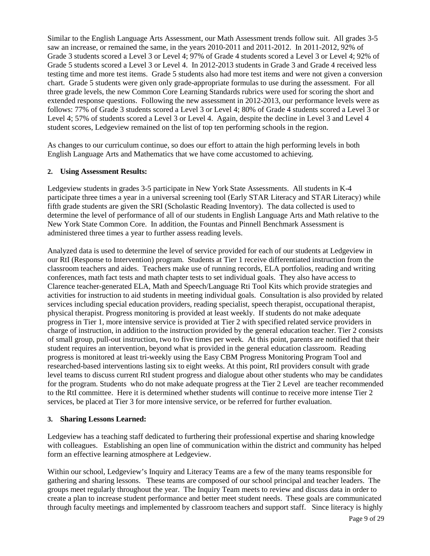Similar to the English Language Arts Assessment, our Math Assessment trends follow suit. All grades 3-5 saw an increase, or remained the same, in the years 2010-2011 and 2011-2012. In 2011-2012, 92% of Grade 3 students scored a Level 3 or Level 4; 97% of Grade 4 students scored a Level 3 or Level 4; 92% of Grade 5 students scored a Level 3 or Level 4. In 2012-2013 students in Grade 3 and Grade 4 received less testing time and more test items. Grade 5 students also had more test items and were not given a conversion chart. Grade 5 students were given only grade-appropriate formulas to use during the assessment. For all three grade levels, the new Common Core Learning Standards rubrics were used for scoring the short and extended response questions. Following the new assessment in 2012-2013, our performance levels were as follows: 77% of Grade 3 students scored a Level 3 or Level 4; 80% of Grade 4 students scored a Level 3 or Level 4; 57% of students scored a Level 3 or Level 4. Again, despite the decline in Level 3 and Level 4 student scores, Ledgeview remained on the list of top ten performing schools in the region.

As changes to our curriculum continue, so does our effort to attain the high performing levels in both English Language Arts and Mathematics that we have come accustomed to achieving.

#### **2. Using Assessment Results:**

Ledgeview students in grades 3-5 participate in New York State Assessments. All students in K-4 participate three times a year in a universal screening tool (Early STAR Literacy and STAR Literacy) while fifth grade students are given the SRI (Scholastic Reading Inventory). The data collected is used to determine the level of performance of all of our students in English Language Arts and Math relative to the New York State Common Core. In addition, the Fountas and Pinnell Benchmark Assessment is administered three times a year to further assess reading levels.

Analyzed data is used to determine the level of service provided for each of our students at Ledgeview in our RtI (Response to Intervention) program. Students at Tier 1 receive differentiated instruction from the classroom teachers and aides. Teachers make use of running records, ELA portfolios, reading and writing conferences, math fact tests and math chapter tests to set individual goals. They also have access to Clarence teacher-generated ELA, Math and Speech/Language Rti Tool Kits which provide strategies and activities for instruction to aid students in meeting individual goals. Consultation is also provided by related services including special education providers, reading specialist, speech therapist, occupational therapist, physical therapist. Progress monitoring is provided at least weekly. If students do not make adequate progress in Tier 1, more intensive service is provided at Tier 2 with specified related service providers in charge of instruction, in addition to the instruction provided by the general education teacher. Tier 2 consists of small group, pull-out instruction, two to five times per week. At this point, parents are notified that their student requires an intervention, beyond what is provided in the general education classroom. Reading progress is monitored at least tri-weekly using the Easy CBM Progress Monitoring Program Tool and researched-based interventions lasting six to eight weeks. At this point, RtI providers consult with grade level teams to discuss current RtI student progress and dialogue about other students who may be candidates for the program. Students who do not make adequate progress at the Tier 2 Level are teacher recommended to the RtI committee. Here it is determined whether students will continue to receive more intense Tier 2 services, be placed at Tier 3 for more intensive service, or be referred for further evaluation.

#### **3. Sharing Lessons Learned:**

Ledgeview has a teaching staff dedicated to furthering their professional expertise and sharing knowledge with colleagues. Establishing an open line of communication within the district and community has helped form an effective learning atmosphere at Ledgeview.

Within our school, Ledgeview's Inquiry and Literacy Teams are a few of the many teams responsible for gathering and sharing lessons. These teams are composed of our school principal and teacher leaders. The groups meet regularly throughout the year. The Inquiry Team meets to review and discuss data in order to create a plan to increase student performance and better meet student needs. These goals are communicated through faculty meetings and implemented by classroom teachers and support staff. Since literacy is highly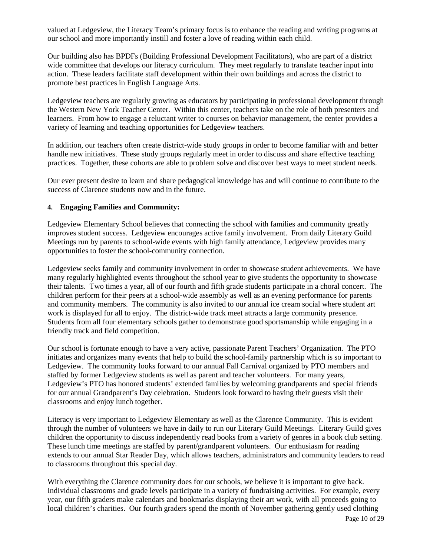valued at Ledgeview, the Literacy Team's primary focus is to enhance the reading and writing programs at our school and more importantly instill and foster a love of reading within each child.

Our building also has BPDFs (Building Professional Development Facilitators), who are part of a district wide committee that develops our literacy curriculum. They meet regularly to translate teacher input into action. These leaders facilitate staff development within their own buildings and across the district to promote best practices in English Language Arts.

Ledgeview teachers are regularly growing as educators by participating in professional development through the Western New York Teacher Center. Within this center, teachers take on the role of both presenters and learners. From how to engage a reluctant writer to courses on behavior management, the center provides a variety of learning and teaching opportunities for Ledgeview teachers.

In addition, our teachers often create district-wide study groups in order to become familiar with and better handle new initiatives. These study groups regularly meet in order to discuss and share effective teaching practices. Together, these cohorts are able to problem solve and discover best ways to meet student needs.

Our ever present desire to learn and share pedagogical knowledge has and will continue to contribute to the success of Clarence students now and in the future.

#### **4. Engaging Families and Community:**

Ledgeview Elementary School believes that connecting the school with families and community greatly improves student success. Ledgeview encourages active family involvement. From daily Literary Guild Meetings run by parents to school-wide events with high family attendance, Ledgeview provides many opportunities to foster the school-community connection.

Ledgeview seeks family and community involvement in order to showcase student achievements. We have many regularly highlighted events throughout the school year to give students the opportunity to showcase their talents. Two times a year, all of our fourth and fifth grade students participate in a choral concert. The children perform for their peers at a school-wide assembly as well as an evening performance for parents and community members. The community is also invited to our annual ice cream social where student art work is displayed for all to enjoy. The district-wide track meet attracts a large community presence. Students from all four elementary schools gather to demonstrate good sportsmanship while engaging in a friendly track and field competition.

Our school is fortunate enough to have a very active, passionate Parent Teachers' Organization. The PTO initiates and organizes many events that help to build the school-family partnership which is so important to Ledgeview. The community looks forward to our annual Fall Carnival organized by PTO members and staffed by former Ledgeview students as well as parent and teacher volunteers. For many years, Ledgeview's PTO has honored students' extended families by welcoming grandparents and special friends for our annual Grandparent's Day celebration. Students look forward to having their guests visit their classrooms and enjoy lunch together.

Literacy is very important to Ledgeview Elementary as well as the Clarence Community. This is evident through the number of volunteers we have in daily to run our Literary Guild Meetings. Literary Guild gives children the opportunity to discuss independently read books from a variety of genres in a book club setting. These lunch time meetings are staffed by parent/grandparent volunteers. Our enthusiasm for reading extends to our annual Star Reader Day, which allows teachers, administrators and community leaders to read to classrooms throughout this special day.

With everything the Clarence community does for our schools, we believe it is important to give back. Individual classrooms and grade levels participate in a variety of fundraising activities. For example, every year, our fifth graders make calendars and bookmarks displaying their art work, with all proceeds going to local children's charities. Our fourth graders spend the month of November gathering gently used clothing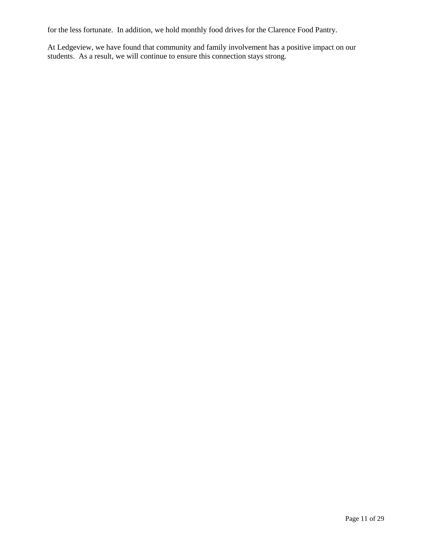for the less fortunate. In addition, we hold monthly food drives for the Clarence Food Pantry.

At Ledgeview, we have found that community and family involvement has a positive impact on our students. As a result, we will continue to ensure this connection stays strong.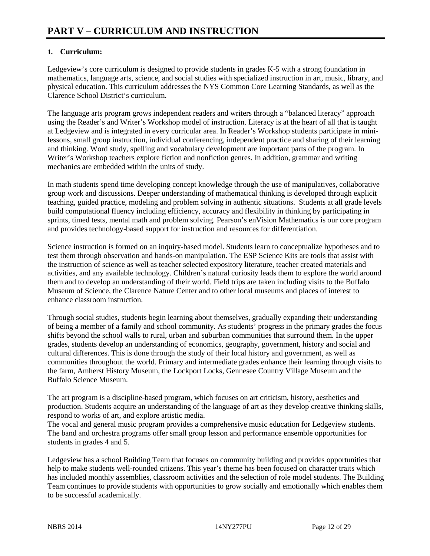### **1. Curriculum:**

Ledgeview's core curriculum is designed to provide students in grades K-5 with a strong foundation in mathematics, language arts, science, and social studies with specialized instruction in art, music, library, and physical education. This curriculum addresses the NYS Common Core Learning Standards, as well as the Clarence School District's curriculum.

The language arts program grows independent readers and writers through a "balanced literacy" approach using the Reader's and Writer's Workshop model of instruction. Literacy is at the heart of all that is taught at Ledgeview and is integrated in every curricular area. In Reader's Workshop students participate in minilessons, small group instruction, individual conferencing, independent practice and sharing of their learning and thinking. Word study, spelling and vocabulary development are important parts of the program. In Writer's Workshop teachers explore fiction and nonfiction genres. In addition, grammar and writing mechanics are embedded within the units of study.

In math students spend time developing concept knowledge through the use of manipulatives, collaborative group work and discussions. Deeper understanding of mathematical thinking is developed through explicit teaching, guided practice, modeling and problem solving in authentic situations. Students at all grade levels build computational fluency including efficiency, accuracy and flexibility in thinking by participating in sprints, timed tests, mental math and problem solving. Pearson's enVision Mathematics is our core program and provides technology-based support for instruction and resources for differentiation.

Science instruction is formed on an inquiry-based model. Students learn to conceptualize hypotheses and to test them through observation and hands-on manipulation. The ESP Science Kits are tools that assist with the instruction of science as well as teacher selected expository literature, teacher created materials and activities, and any available technology. Children's natural curiosity leads them to explore the world around them and to develop an understanding of their world. Field trips are taken including visits to the Buffalo Museum of Science, the Clarence Nature Center and to other local museums and places of interest to enhance classroom instruction.

Through social studies, students begin learning about themselves, gradually expanding their understanding of being a member of a family and school community. As students' progress in the primary grades the focus shifts beyond the school walls to rural, urban and suburban communities that surround them. In the upper grades, students develop an understanding of economics, geography, government, history and social and cultural differences. This is done through the study of their local history and government, as well as communities throughout the world. Primary and intermediate grades enhance their learning through visits to the farm, Amherst History Museum, the Lockport Locks, Gennesee Country Village Museum and the Buffalo Science Museum.

The art program is a discipline-based program, which focuses on art criticism, history, aesthetics and production. Students acquire an understanding of the language of art as they develop creative thinking skills, respond to works of art, and explore artistic media.

The vocal and general music program provides a comprehensive music education for Ledgeview students. The band and orchestra programs offer small group lesson and performance ensemble opportunities for students in grades 4 and 5.

Ledgeview has a school Building Team that focuses on community building and provides opportunities that help to make students well-rounded citizens. This year's theme has been focused on character traits which has included monthly assemblies, classroom activities and the selection of role model students. The Building Team continues to provide students with opportunities to grow socially and emotionally which enables them to be successful academically.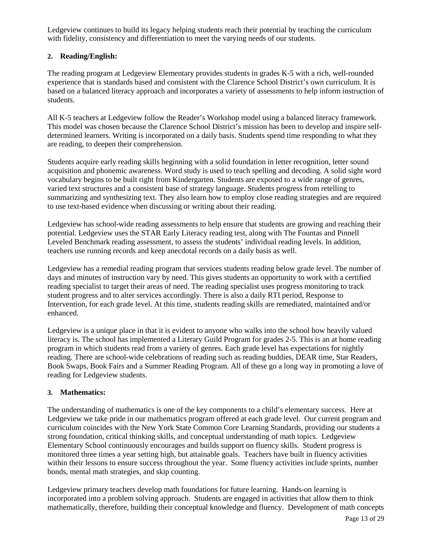Ledgeview continues to build its legacy helping students reach their potential by teaching the curriculum with fidelity, consistency and differentiation to meet the varying needs of our students.

### **2. Reading/English:**

The reading program at Ledgeview Elementary provides students in grades K-5 with a rich, well-rounded experience that is standards based and consistent with the Clarence School District's own curriculum. It is based on a balanced literacy approach and incorporates a variety of assessments to help inform instruction of students.

All K-5 teachers at Ledgeview follow the Reader's Workshop model using a balanced literacy framework. This model was chosen because the Clarence School District's mission has been to develop and inspire selfdetermined learners. Writing is incorporated on a daily basis. Students spend time responding to what they are reading, to deepen their comprehension.

Students acquire early reading skills beginning with a solid foundation in letter recognition, letter sound acquisition and phonemic awareness. Word study is used to teach spelling and decoding. A solid sight word vocabulary begins to be built right from Kindergarten. Students are exposed to a wide range of genres, varied text structures and a consistent base of strategy language. Students progress from retelling to summarizing and synthesizing text. They also learn how to employ close reading strategies and are required to use text-based evidence when discussing or writing about their reading.

Ledgeview has school-wide reading assessments to help ensure that students are growing and reaching their potential. Ledgeview uses the STAR Early Literacy reading test, along with The Fountas and Pinnell Leveled Benchmark reading assessment, to assess the students' individual reading levels. In addition, teachers use running records and keep anecdotal records on a daily basis as well.

Ledgeview has a remedial reading program that services students reading below grade level. The number of days and minutes of instruction vary by need. This gives students an opportunity to work with a certified reading specialist to target their areas of need. The reading specialist uses progress monitoring to track student progress and to alter services accordingly. There is also a daily RTI period, Response to Intervention, for each grade level. At this time, students reading skills are remediated, maintained and/or enhanced.

Ledgeview is a unique place in that it is evident to anyone who walks into the school how heavily valued literacy is. The school has implemented a Literary Guild Program for grades 2-5. This is an at home reading program in which students read from a variety of genres. Each grade level has expectations for nightly reading. There are school-wide celebrations of reading such as reading buddies, DEAR time, Star Readers, Book Swaps, Book Fairs and a Summer Reading Program. All of these go a long way in promoting a love of reading for Ledgeview students.

### **3. Mathematics:**

The understanding of mathematics is one of the key components to a child's elementary success. Here at Ledgeview we take pride in our mathematics program offered at each grade level. Our current program and curriculum coincides with the New York State Common Core Learning Standards, providing our students a strong foundation, critical thinking skills, and conceptual understanding of math topics. Ledgeview Elementary School continuously encourages and builds support on fluency skills. Student progress is monitored three times a year setting high, but attainable goals. Teachers have built in fluency activities within their lessons to ensure success throughout the year. Some fluency activities include sprints, number bonds, mental math strategies, and skip counting.

Ledgeview primary teachers develop math foundations for future learning. Hands-on learning is incorporated into a problem solving approach. Students are engaged in activities that allow them to think mathematically, therefore, building their conceptual knowledge and fluency. Development of math concepts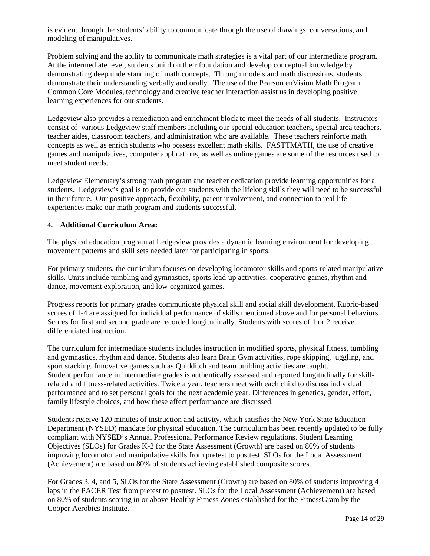is evident through the students' ability to communicate through the use of drawings, conversations, and modeling of manipulatives.

Problem solving and the ability to communicate math strategies is a vital part of our intermediate program. At the intermediate level, students build on their foundation and develop conceptual knowledge by demonstrating deep understanding of math concepts. Through models and math discussions, students demonstrate their understanding verbally and orally. The use of the Pearson enVision Math Program, Common Core Modules, technology and creative teacher interaction assist us in developing positive learning experiences for our students.

Ledgeview also provides a remediation and enrichment block to meet the needs of all students. Instructors consist of various Ledgeview staff members including our special education teachers, special area teachers, teacher aides, classroom teachers, and administration who are available. These teachers reinforce math concepts as well as enrich students who possess excellent math skills. FASTTMATH, the use of creative games and manipulatives, computer applications, as well as online games are some of the resources used to meet student needs.

Ledgeview Elementary's strong math program and teacher dedication provide learning opportunities for all students. Ledgeview's goal is to provide our students with the lifelong skills they will need to be successful in their future. Our positive approach, flexibility, parent involvement, and connection to real life experiences make our math program and students successful.

#### **4. Additional Curriculum Area:**

The physical education program at Ledgeview provides a dynamic learning environment for developing movement patterns and skill sets needed later for participating in sports.

For primary students, the curriculum focuses on developing locomotor skills and sports-related manipulative skills. Units include tumbling and gymnastics, sports lead-up activities, cooperative games, rhythm and dance, movement exploration, and low-organized games.

Progress reports for primary grades communicate physical skill and social skill development. Rubric-based scores of 1-4 are assigned for individual performance of skills mentioned above and for personal behaviors. Scores for first and second grade are recorded longitudinally. Students with scores of 1 or 2 receive differentiated instruction.

The curriculum for intermediate students includes instruction in modified sports, physical fitness, tumbling and gymnastics, rhythm and dance. Students also learn Brain Gym activities, rope skipping, juggling, and sport stacking. Innovative games such as Quidditch and team building activities are taught. Student performance in intermediate grades is authentically assessed and reported longitudinally for skillrelated and fitness-related activities. Twice a year, teachers meet with each child to discuss individual performance and to set personal goals for the next academic year. Differences in genetics, gender, effort, family lifestyle choices, and how these affect performance are discussed.

Students receive 120 minutes of instruction and activity, which satisfies the New York State Education Department (NYSED) mandate for physical education. The curriculum has been recently updated to be fully compliant with NYSED's Annual Professional Performance Review regulations. Student Learning Objectives (SLOs) for Grades K-2 for the State Assessment (Growth) are based on 80% of students improving locomotor and manipulative skills from pretest to posttest. SLOs for the Local Assessment (Achievement) are based on 80% of students achieving established composite scores.

For Grades 3, 4, and 5, SLOs for the State Assessment (Growth) are based on 80% of students improving 4 laps in the PACER Test from pretest to posttest. SLOs for the Local Assessment (Achievement) are based on 80% of students scoring in or above Healthy Fitness Zones established for the FitnessGram by the Cooper Aerobics Institute.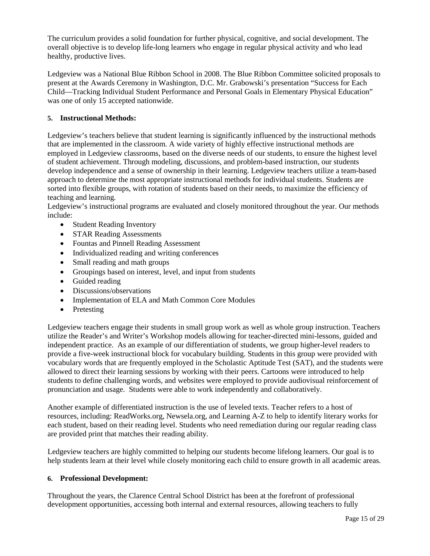The curriculum provides a solid foundation for further physical, cognitive, and social development. The overall objective is to develop life-long learners who engage in regular physical activity and who lead healthy, productive lives.

Ledgeview was a National Blue Ribbon School in 2008. The Blue Ribbon Committee solicited proposals to present at the Awards Ceremony in Washington, D.C. Mr. Grabowski's presentation "Success for Each Child—Tracking Individual Student Performance and Personal Goals in Elementary Physical Education" was one of only 15 accepted nationwide.

### **5. Instructional Methods:**

Ledgeview's teachers believe that student learning is significantly influenced by the instructional methods that are implemented in the classroom. A wide variety of highly effective instructional methods are employed in Ledgeview classrooms, based on the diverse needs of our students, to ensure the highest level of student achievement. Through modeling, discussions, and problem-based instruction, our students develop independence and a sense of ownership in their learning. Ledgeview teachers utilize a team-based approach to determine the most appropriate instructional methods for individual students. Students are sorted into flexible groups, with rotation of students based on their needs, to maximize the efficiency of teaching and learning.

Ledgeview's instructional programs are evaluated and closely monitored throughout the year. Our methods include:

- Student Reading Inventory
- STAR Reading Assessments
- Fountas and Pinnell Reading Assessment
- Individualized reading and writing conferences
- Small reading and math groups
- Groupings based on interest, level, and input from students
- Guided reading
- Discussions/observations
- Implementation of ELA and Math Common Core Modules
- Pretesting

Ledgeview teachers engage their students in small group work as well as whole group instruction. Teachers utilize the Reader's and Writer's Workshop models allowing for teacher-directed mini-lessons, guided and independent practice. As an example of our differentiation of students, we group higher-level readers to provide a five-week instructional block for vocabulary building. Students in this group were provided with vocabulary words that are frequently employed in the Scholastic Aptitude Test (SAT), and the students were allowed to direct their learning sessions by working with their peers. Cartoons were introduced to help students to define challenging words, and websites were employed to provide audiovisual reinforcement of pronunciation and usage. Students were able to work independently and collaboratively.

Another example of differentiated instruction is the use of leveled texts. Teacher refers to a host of resources, including: ReadWorks.org, Newsela.org, and Learning A-Z to help to identify literary works for each student, based on their reading level. Students who need remediation during our regular reading class are provided print that matches their reading ability.

Ledgeview teachers are highly committed to helping our students become lifelong learners. Our goal is to help students learn at their level while closely monitoring each child to ensure growth in all academic areas.

#### **6. Professional Development:**

Throughout the years, the Clarence Central School District has been at the forefront of professional development opportunities, accessing both internal and external resources, allowing teachers to fully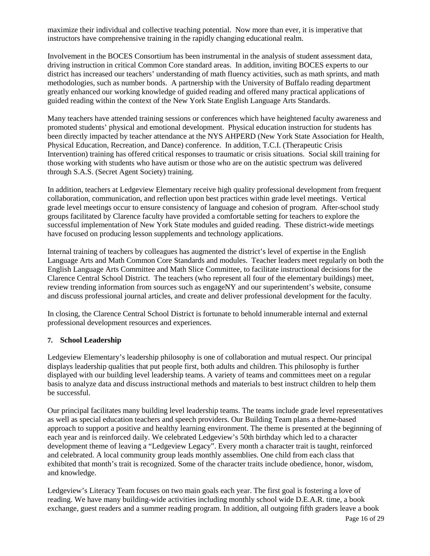maximize their individual and collective teaching potential. Now more than ever, it is imperative that instructors have comprehensive training in the rapidly changing educational realm.

Involvement in the BOCES Consortium has been instrumental in the analysis of student assessment data, driving instruction in critical Common Core standard areas. In addition, inviting BOCES experts to our district has increased our teachers' understanding of math fluency activities, such as math sprints, and math methodologies, such as number bonds. A partnership with the University of Buffalo reading department greatly enhanced our working knowledge of guided reading and offered many practical applications of guided reading within the context of the New York State English Language Arts Standards.

Many teachers have attended training sessions or conferences which have heightened faculty awareness and promoted students' physical and emotional development. Physical education instruction for students has been directly impacted by teacher attendance at the NYS AHPERD (New York State Association for Health, Physical Education, Recreation, and Dance) conference. In addition, T.C.I. (Therapeutic Crisis Intervention) training has offered critical responses to traumatic or crisis situations. Social skill training for those working with students who have autism or those who are on the autistic spectrum was delivered through S.A.S. (Secret Agent Society) training.

In addition, teachers at Ledgeview Elementary receive high quality professional development from frequent collaboration, communication, and reflection upon best practices within grade level meetings. Vertical grade level meetings occur to ensure consistency of language and cohesion of program. After-school study groups facilitated by Clarence faculty have provided a comfortable setting for teachers to explore the successful implementation of New York State modules and guided reading. These district-wide meetings have focused on producing lesson supplements and technology applications.

Internal training of teachers by colleagues has augmented the district's level of expertise in the English Language Arts and Math Common Core Standards and modules. Teacher leaders meet regularly on both the English Language Arts Committee and Math Slice Committee, to facilitate instructional decisions for the Clarence Central School District. The teachers (who represent all four of the elementary buildings) meet, review trending information from sources such as engageNY and our superintendent's website, consume and discuss professional journal articles, and create and deliver professional development for the faculty.

In closing, the Clarence Central School District is fortunate to behold innumerable internal and external professional development resources and experiences.

### **7. School Leadership**

Ledgeview Elementary's leadership philosophy is one of collaboration and mutual respect. Our principal displays leadership qualities that put people first, both adults and children. This philosophy is further displayed with our building level leadership teams. A variety of teams and committees meet on a regular basis to analyze data and discuss instructional methods and materials to best instruct children to help them be successful.

Our principal facilitates many building level leadership teams. The teams include grade level representatives as well as special education teachers and speech providers. Our Building Team plans a theme-based approach to support a positive and healthy learning environment. The theme is presented at the beginning of each year and is reinforced daily. We celebrated Ledgeview's 50th birthday which led to a character development theme of leaving a "Ledgeview Legacy". Every month a character trait is taught, reinforced and celebrated. A local community group leads monthly assemblies. One child from each class that exhibited that month's trait is recognized. Some of the character traits include obedience, honor, wisdom, and knowledge.

Ledgeview's Literacy Team focuses on two main goals each year. The first goal is fostering a love of reading. We have many building-wide activities including monthly school wide D.E.A.R. time, a book exchange, guest readers and a summer reading program. In addition, all outgoing fifth graders leave a book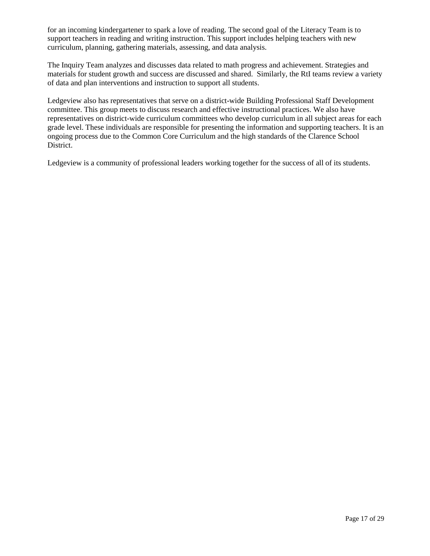for an incoming kindergartener to spark a love of reading. The second goal of the Literacy Team is to support teachers in reading and writing instruction. This support includes helping teachers with new curriculum, planning, gathering materials, assessing, and data analysis.

The Inquiry Team analyzes and discusses data related to math progress and achievement. Strategies and materials for student growth and success are discussed and shared. Similarly, the RtI teams review a variety of data and plan interventions and instruction to support all students.

Ledgeview also has representatives that serve on a district-wide Building Professional Staff Development committee. This group meets to discuss research and effective instructional practices. We also have representatives on district-wide curriculum committees who develop curriculum in all subject areas for each grade level. These individuals are responsible for presenting the information and supporting teachers. It is an ongoing process due to the Common Core Curriculum and the high standards of the Clarence School District.

Ledgeview is a community of professional leaders working together for the success of all of its students.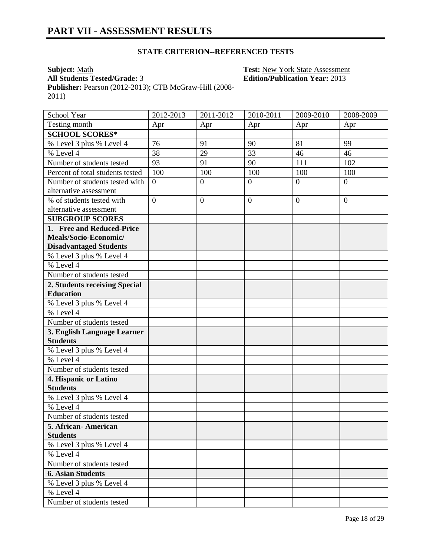**Subject:** Math **Test:** New York State Assessment **All Students Tested/Grade:** 3 **Edition/Publication Year:** 2013 **Publisher:** Pearson (2012-2013); CTB McGraw-Hill (2008- 2011)

School Year 2012-2013 2011-2012 2010-2011 2009-2010 2008-2009 Testing month  $\begin{array}{|c|c|c|c|c|c|c|c|c|} \hline \end{array}$  Apr  $\begin{array}{|c|c|c|c|c|c|c|c|c|} \hline \end{array}$  Apr  $\begin{array}{|c|c|c|c|c|c|c|c|} \hline \end{array}$ **SCHOOL SCORES\*** % Level 3 plus % Level 4 76 91 90 81 99 % Level 4 38 29 33 46 46 Number of students tested 93 91 90 111 102 Percent of total students tested  $\begin{bmatrix} 100 \\ 100 \end{bmatrix}$  100 100 100 100 Number of students tested with alternative assessment  $0 \qquad \qquad 0 \qquad \qquad 0 \qquad \qquad 0$ % of students tested with alternative assessment  $0 \qquad \qquad 0 \qquad \qquad 0 \qquad \qquad 0$ **SUBGROUP SCORES 1. Free and Reduced-Price Meals/Socio-Economic/ Disadvantaged Students** % Level 3 plus % Level 4 % Level 4 Number of students tested **2. Students receiving Special Education** % Level 3 plus % Level 4 % Level 4 Number of students tested **3. English Language Learner Students** % Level 3 plus % Level 4 % Level 4 Number of students tested **4. Hispanic or Latino Students** % Level 3 plus % Level 4 % Level 4 Number of students tested **5. African- American Students** % Level 3 plus % Level 4 % Level 4 Number of students tested **6. Asian Students** % Level 3 plus % Level 4 % Level 4 Number of students tested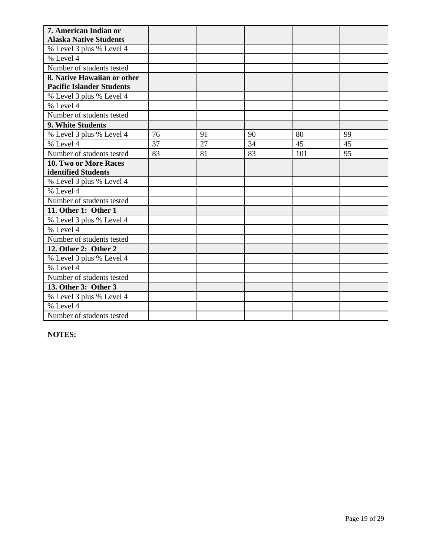| 7. American Indian or            |    |    |    |     |    |
|----------------------------------|----|----|----|-----|----|
| <b>Alaska Native Students</b>    |    |    |    |     |    |
| % Level 3 plus % Level 4         |    |    |    |     |    |
| % Level 4                        |    |    |    |     |    |
| Number of students tested        |    |    |    |     |    |
| 8. Native Hawaiian or other      |    |    |    |     |    |
| <b>Pacific Islander Students</b> |    |    |    |     |    |
| % Level 3 plus % Level 4         |    |    |    |     |    |
| % Level 4                        |    |    |    |     |    |
| Number of students tested        |    |    |    |     |    |
| 9. White Students                |    |    |    |     |    |
| % Level 3 plus % Level 4         | 76 | 91 | 90 | 80  | 99 |
| % Level 4                        | 37 | 27 | 34 | 45  | 45 |
| Number of students tested        | 83 | 81 | 83 | 101 | 95 |
| 10. Two or More Races            |    |    |    |     |    |
| identified Students              |    |    |    |     |    |
| % Level 3 plus % Level 4         |    |    |    |     |    |
| % Level $4$                      |    |    |    |     |    |
| Number of students tested        |    |    |    |     |    |
| 11. Other 1: Other 1             |    |    |    |     |    |
| % Level 3 plus % Level 4         |    |    |    |     |    |
| % Level 4                        |    |    |    |     |    |
| Number of students tested        |    |    |    |     |    |
| 12. Other 2: Other 2             |    |    |    |     |    |
| % Level 3 plus % Level 4         |    |    |    |     |    |
| % Level 4                        |    |    |    |     |    |
| Number of students tested        |    |    |    |     |    |
| 13. Other 3: Other 3             |    |    |    |     |    |
| % Level 3 plus % Level 4         |    |    |    |     |    |
| % Level 4                        |    |    |    |     |    |
| Number of students tested        |    |    |    |     |    |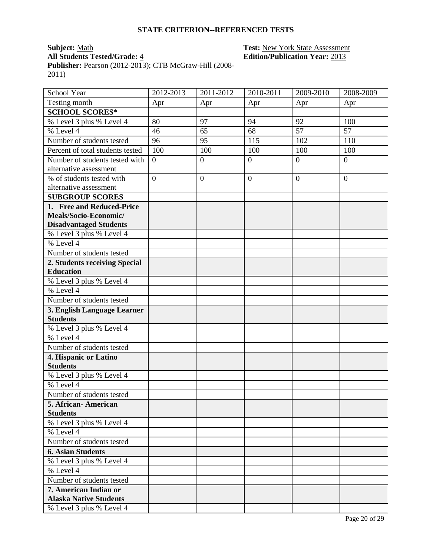**Subject:** Math **Test:** New York State Assessment **All Students Tested/Grade:** 4 **Edition/Publication Year:** 2013 **Publisher:** Pearson (2012-2013); CTB McGraw-Hill (2008- 2011)

School Year 2012-2013 2011-2012 2010-2011 2009-2010 2008-2009 Testing month Apr Apr Apr Apr Apr **SCHOOL SCORES\*** % Level 3 plus % Level 4 80 97 94 92 100 % Level 4 46 65 68 57 57 Number of students tested 96 95 115 102 110 Percent of total students tested  $\begin{bmatrix} 100 \\ 100 \end{bmatrix}$  100 100 100 100 Number of students tested with alternative assessment  $0 \qquad \qquad 0 \qquad \qquad 0 \qquad \qquad 0$ % of students tested with alternative assessment  $0 \qquad \qquad 0 \qquad \qquad 0 \qquad \qquad 0$ **SUBGROUP SCORES 1. Free and Reduced-Price Meals/Socio-Economic/ Disadvantaged Students** % Level 3 plus % Level 4 % Level 4 Number of students tested **2. Students receiving Special Education** % Level 3 plus % Level 4 % Level 4 Number of students tested **3. English Language Learner Students** % Level 3 plus % Level 4 % Level 4 Number of students tested **4. Hispanic or Latino Students** % Level 3 plus % Level 4 % Level 4 Number of students tested **5. African- American Students** % Level 3 plus % Level 4 % Level 4 Number of students tested **6. Asian Students** % Level 3 plus % Level 4 % Level 4 Number of students tested **7. American Indian or Alaska Native Students** % Level 3 plus % Level 4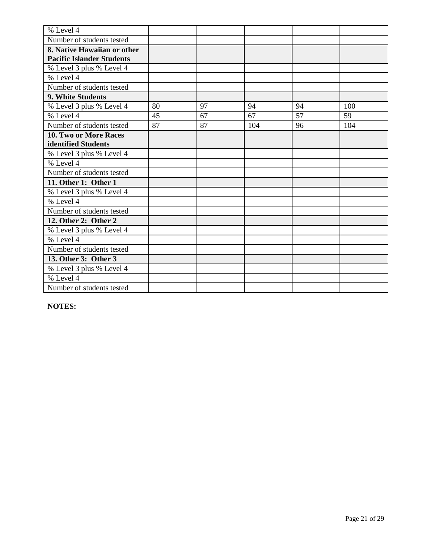| % Level 4                        |    |    |     |    |     |
|----------------------------------|----|----|-----|----|-----|
| Number of students tested        |    |    |     |    |     |
| 8. Native Hawaiian or other      |    |    |     |    |     |
| <b>Pacific Islander Students</b> |    |    |     |    |     |
| % Level 3 plus % Level 4         |    |    |     |    |     |
| % Level 4                        |    |    |     |    |     |
| Number of students tested        |    |    |     |    |     |
| 9. White Students                |    |    |     |    |     |
| % Level 3 plus % Level 4         | 80 | 97 | 94  | 94 | 100 |
| % Level 4                        | 45 | 67 | 67  | 57 | 59  |
| Number of students tested        | 87 | 87 | 104 | 96 | 104 |
| 10. Two or More Races            |    |    |     |    |     |
| identified Students              |    |    |     |    |     |
| % Level 3 plus % Level 4         |    |    |     |    |     |
| % Level 4                        |    |    |     |    |     |
| Number of students tested        |    |    |     |    |     |
| 11. Other 1: Other 1             |    |    |     |    |     |
| % Level 3 plus % Level 4         |    |    |     |    |     |
| % Level 4                        |    |    |     |    |     |
| Number of students tested        |    |    |     |    |     |
| 12. Other 2: Other 2             |    |    |     |    |     |
| % Level 3 plus % Level 4         |    |    |     |    |     |
| % Level 4                        |    |    |     |    |     |
| Number of students tested        |    |    |     |    |     |
| 13. Other 3: Other 3             |    |    |     |    |     |
| % Level 3 plus % Level 4         |    |    |     |    |     |
| % Level 4                        |    |    |     |    |     |
| Number of students tested        |    |    |     |    |     |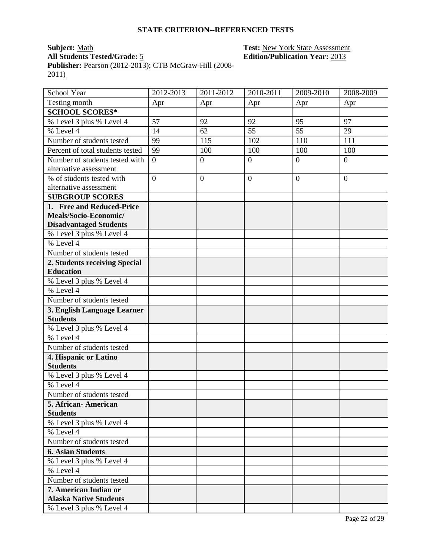# **Subject:** <u>Math **Test:** New York State Assessment</u><br> **All Students Tested/Grade:** 5 **Test: Edition/Publication Year:** 2013 **All Students Tested/Grade:** 5 **Edition/Publication Year:** 2013

**Publisher:** Pearson (2012-2013); CTB McGraw-Hill (2008- 2011)

| School Year                                    | 2012-2013      | 2011-2012        | 2010-2011      | 2009-2010        | 2008-2009        |
|------------------------------------------------|----------------|------------------|----------------|------------------|------------------|
| Testing month                                  | Apr            | Apr              | Apr            | Apr              | Apr              |
| <b>SCHOOL SCORES*</b>                          |                |                  |                |                  |                  |
| % Level 3 plus % Level 4                       | 57             | 92               | 92             | 95               | 97               |
| % Level 4                                      | 14             | 62               | 55             | 55               | 29               |
| Number of students tested                      | 99             | 115              | 102            | 110              | 111              |
| Percent of total students tested               | 99             | 100              | 100            | 100              | 100              |
| Number of students tested with                 | $\overline{0}$ | $\boldsymbol{0}$ | $\overline{0}$ | $\boldsymbol{0}$ | $\boldsymbol{0}$ |
| alternative assessment                         |                |                  |                |                  |                  |
| % of students tested with                      | $\overline{0}$ | $\overline{0}$   | $\overline{0}$ | $\overline{0}$   | $\overline{0}$   |
| alternative assessment                         |                |                  |                |                  |                  |
| <b>SUBGROUP SCORES</b>                         |                |                  |                |                  |                  |
| 1. Free and Reduced-Price                      |                |                  |                |                  |                  |
| Meals/Socio-Economic/                          |                |                  |                |                  |                  |
| <b>Disadvantaged Students</b>                  |                |                  |                |                  |                  |
| % Level 3 plus % Level 4                       |                |                  |                |                  |                  |
| % Level 4                                      |                |                  |                |                  |                  |
| Number of students tested                      |                |                  |                |                  |                  |
| 2. Students receiving Special                  |                |                  |                |                  |                  |
| <b>Education</b>                               |                |                  |                |                  |                  |
| % Level 3 plus % Level 4                       |                |                  |                |                  |                  |
| % Level 4                                      |                |                  |                |                  |                  |
| Number of students tested                      |                |                  |                |                  |                  |
| 3. English Language Learner<br><b>Students</b> |                |                  |                |                  |                  |
| % Level 3 plus % Level 4                       |                |                  |                |                  |                  |
| % Level 4                                      |                |                  |                |                  |                  |
| Number of students tested                      |                |                  |                |                  |                  |
|                                                |                |                  |                |                  |                  |
| 4. Hispanic or Latino<br><b>Students</b>       |                |                  |                |                  |                  |
| % Level 3 plus % Level 4                       |                |                  |                |                  |                  |
| % Level 4                                      |                |                  |                |                  |                  |
| Number of students tested                      |                |                  |                |                  |                  |
| 5. African- American                           |                |                  |                |                  |                  |
| <b>Students</b>                                |                |                  |                |                  |                  |
| % Level 3 plus % Level 4                       |                |                  |                |                  |                  |
| % Level 4                                      |                |                  |                |                  |                  |
| Number of students tested                      |                |                  |                |                  |                  |
| <b>6. Asian Students</b>                       |                |                  |                |                  |                  |
| % Level 3 plus % Level 4                       |                |                  |                |                  |                  |
| % Level 4                                      |                |                  |                |                  |                  |
| Number of students tested                      |                |                  |                |                  |                  |
| 7. American Indian or                          |                |                  |                |                  |                  |
| <b>Alaska Native Students</b>                  |                |                  |                |                  |                  |
| % Level 3 plus % Level 4                       |                |                  |                |                  |                  |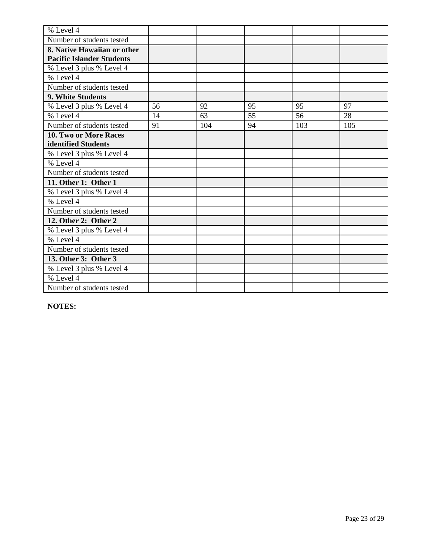| % Level 4                        |    |     |    |     |     |
|----------------------------------|----|-----|----|-----|-----|
| Number of students tested        |    |     |    |     |     |
| 8. Native Hawaiian or other      |    |     |    |     |     |
| <b>Pacific Islander Students</b> |    |     |    |     |     |
| % Level 3 plus % Level 4         |    |     |    |     |     |
| % Level 4                        |    |     |    |     |     |
| Number of students tested        |    |     |    |     |     |
| 9. White Students                |    |     |    |     |     |
| % Level 3 plus % Level 4         | 56 | 92  | 95 | 95  | 97  |
| % Level 4                        | 14 | 63  | 55 | 56  | 28  |
| Number of students tested        | 91 | 104 | 94 | 103 | 105 |
| 10. Two or More Races            |    |     |    |     |     |
| identified Students              |    |     |    |     |     |
| % Level 3 plus % Level 4         |    |     |    |     |     |
| % Level 4                        |    |     |    |     |     |
| Number of students tested        |    |     |    |     |     |
| 11. Other 1: Other 1             |    |     |    |     |     |
| % Level 3 plus % Level 4         |    |     |    |     |     |
| % Level 4                        |    |     |    |     |     |
| Number of students tested        |    |     |    |     |     |
| 12. Other 2: Other 2             |    |     |    |     |     |
| % Level 3 plus % Level 4         |    |     |    |     |     |
| % Level 4                        |    |     |    |     |     |
| Number of students tested        |    |     |    |     |     |
| 13. Other 3: Other 3             |    |     |    |     |     |
| % Level 3 plus % Level 4         |    |     |    |     |     |
| % Level 4                        |    |     |    |     |     |
| Number of students tested        |    |     |    |     |     |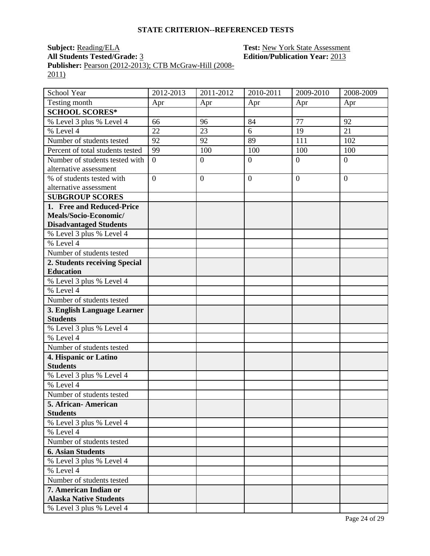## **Subject:** <u>Reading/ELA</u> **Test:** <u>New York State Assessment</u><br>All Students Tested/Grade: 3 **Edition/Publication Year:** 2013 **Edition/Publication Year: 2013**

**Publisher:** <u>Pearson (2012-2013); CTB McGraw-Hill (2008-</u> 2011)

| School Year                                    | 2012-2013        | 2011-2012      | 2010-2011        | 2009-2010      | 2008-2009      |
|------------------------------------------------|------------------|----------------|------------------|----------------|----------------|
| Testing month                                  | Apr              | Apr            | Apr              | Apr            | Apr            |
| <b>SCHOOL SCORES*</b>                          |                  |                |                  |                |                |
| % Level 3 plus % Level 4                       | 66               | 96             | 84               | 77             | 92             |
| % Level 4                                      | 22               | 23             | 6                | 19             | 21             |
| Number of students tested                      | 92               | 92             | 89               | 111            | 102            |
| Percent of total students tested               | 99               | 100            | 100              | 100            | 100            |
| Number of students tested with                 | $\boldsymbol{0}$ | $\overline{0}$ | $\boldsymbol{0}$ | $\overline{0}$ | $\overline{0}$ |
| alternative assessment                         |                  |                |                  |                |                |
| % of students tested with                      | $\overline{0}$   | $\overline{0}$ | $\boldsymbol{0}$ | $\overline{0}$ | $\theta$       |
| alternative assessment                         |                  |                |                  |                |                |
| <b>SUBGROUP SCORES</b>                         |                  |                |                  |                |                |
| 1. Free and Reduced-Price                      |                  |                |                  |                |                |
| Meals/Socio-Economic/                          |                  |                |                  |                |                |
| <b>Disadvantaged Students</b>                  |                  |                |                  |                |                |
| % Level 3 plus % Level 4                       |                  |                |                  |                |                |
| $%$ Level 4                                    |                  |                |                  |                |                |
| Number of students tested                      |                  |                |                  |                |                |
| 2. Students receiving Special                  |                  |                |                  |                |                |
| <b>Education</b>                               |                  |                |                  |                |                |
| % Level 3 plus % Level 4                       |                  |                |                  |                |                |
| % Level 4                                      |                  |                |                  |                |                |
| Number of students tested                      |                  |                |                  |                |                |
| 3. English Language Learner<br><b>Students</b> |                  |                |                  |                |                |
| % Level 3 plus % Level 4                       |                  |                |                  |                |                |
| % Level 4                                      |                  |                |                  |                |                |
| Number of students tested                      |                  |                |                  |                |                |
| 4. Hispanic or Latino                          |                  |                |                  |                |                |
| <b>Students</b>                                |                  |                |                  |                |                |
| % Level 3 plus % Level 4                       |                  |                |                  |                |                |
| % Level 4                                      |                  |                |                  |                |                |
| Number of students tested                      |                  |                |                  |                |                |
| 5. African - American                          |                  |                |                  |                |                |
| <b>Students</b>                                |                  |                |                  |                |                |
| % Level 3 plus % Level 4                       |                  |                |                  |                |                |
| % Level 4                                      |                  |                |                  |                |                |
| Number of students tested                      |                  |                |                  |                |                |
| <b>6. Asian Students</b>                       |                  |                |                  |                |                |
| % Level 3 plus % Level 4                       |                  |                |                  |                |                |
| % Level $\overline{4}$                         |                  |                |                  |                |                |
| Number of students tested                      |                  |                |                  |                |                |
| 7. American Indian or                          |                  |                |                  |                |                |
| <b>Alaska Native Students</b>                  |                  |                |                  |                |                |
| % Level 3 plus % Level 4                       |                  |                |                  |                |                |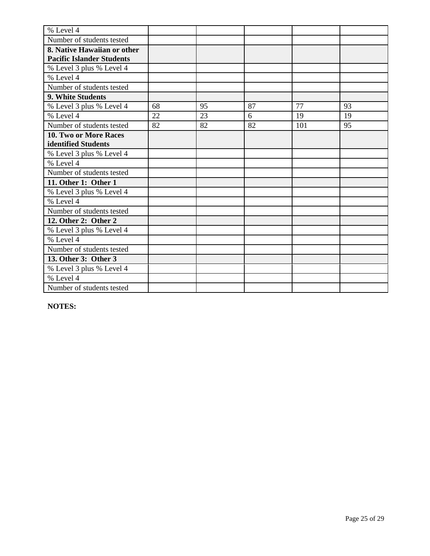| % Level 4                        |    |    |    |     |    |
|----------------------------------|----|----|----|-----|----|
| Number of students tested        |    |    |    |     |    |
| 8. Native Hawaiian or other      |    |    |    |     |    |
| <b>Pacific Islander Students</b> |    |    |    |     |    |
| % Level 3 plus % Level 4         |    |    |    |     |    |
| % Level 4                        |    |    |    |     |    |
| Number of students tested        |    |    |    |     |    |
| 9. White Students                |    |    |    |     |    |
| % Level 3 plus % Level 4         | 68 | 95 | 87 | 77  | 93 |
| % Level 4                        | 22 | 23 | 6  | 19  | 19 |
| Number of students tested        | 82 | 82 | 82 | 101 | 95 |
| 10. Two or More Races            |    |    |    |     |    |
| identified Students              |    |    |    |     |    |
| % Level 3 plus % Level 4         |    |    |    |     |    |
| % Level 4                        |    |    |    |     |    |
| Number of students tested        |    |    |    |     |    |
| 11. Other 1: Other 1             |    |    |    |     |    |
| % Level 3 plus % Level 4         |    |    |    |     |    |
| % Level 4                        |    |    |    |     |    |
| Number of students tested        |    |    |    |     |    |
| 12. Other 2: Other 2             |    |    |    |     |    |
| % Level 3 plus % Level 4         |    |    |    |     |    |
| % Level 4                        |    |    |    |     |    |
| Number of students tested        |    |    |    |     |    |
| 13. Other 3: Other 3             |    |    |    |     |    |
| % Level 3 plus % Level 4         |    |    |    |     |    |
| % Level 4                        |    |    |    |     |    |
| Number of students tested        |    |    |    |     |    |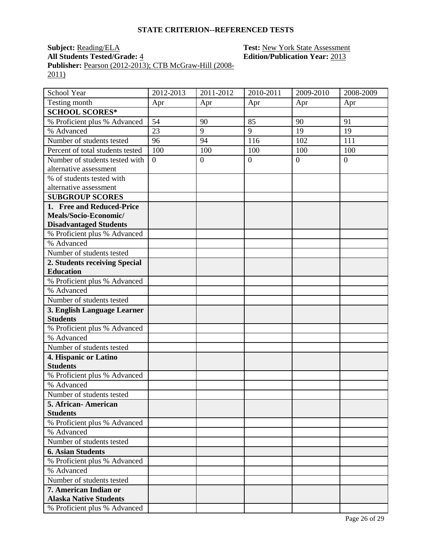# **Subject:** <u>Reading/ELA</u> **Test:** <u>New York State Assessment</u><br> **All Students Tested/Grade:** 4 **Edition/Publication Year:** 2013 **All Students Tested/Grade:** 4 **Edition/Publication Year:** 2013

**Publisher:** Pearson (2012-2013); CTB McGraw-Hill (2008- 2011)

| School Year                      | 2012-2013 | 2011-2012      | 2010-2011      | 2009-2010      | 2008-2009      |
|----------------------------------|-----------|----------------|----------------|----------------|----------------|
| Testing month                    | Apr       | Apr            | Apr            | Apr            | Apr            |
| <b>SCHOOL SCORES*</b>            |           |                |                |                |                |
| % Proficient plus % Advanced     | 54        | 90             | 85             | 90             | 91             |
| % Advanced                       | 23        | 9              | 9              | 19             | 19             |
| Number of students tested        | 96        | 94             | 116            | 102            | 111            |
| Percent of total students tested | 100       | 100            | 100            | 100            | 100            |
| Number of students tested with   | $\theta$  | $\overline{0}$ | $\overline{0}$ | $\overline{0}$ | $\overline{0}$ |
| alternative assessment           |           |                |                |                |                |
| % of students tested with        |           |                |                |                |                |
| alternative assessment           |           |                |                |                |                |
| <b>SUBGROUP SCORES</b>           |           |                |                |                |                |
| 1. Free and Reduced-Price        |           |                |                |                |                |
| Meals/Socio-Economic/            |           |                |                |                |                |
| <b>Disadvantaged Students</b>    |           |                |                |                |                |
| % Proficient plus % Advanced     |           |                |                |                |                |
| % Advanced                       |           |                |                |                |                |
| Number of students tested        |           |                |                |                |                |
| 2. Students receiving Special    |           |                |                |                |                |
| <b>Education</b>                 |           |                |                |                |                |
| % Proficient plus % Advanced     |           |                |                |                |                |
| % Advanced                       |           |                |                |                |                |
| Number of students tested        |           |                |                |                |                |
| 3. English Language Learner      |           |                |                |                |                |
| <b>Students</b>                  |           |                |                |                |                |
| % Proficient plus % Advanced     |           |                |                |                |                |
| % Advanced                       |           |                |                |                |                |
| Number of students tested        |           |                |                |                |                |
| 4. Hispanic or Latino            |           |                |                |                |                |
| <b>Students</b>                  |           |                |                |                |                |
| % Proficient plus % Advanced     |           |                |                |                |                |
| % Advanced                       |           |                |                |                |                |
| Number of students tested        |           |                |                |                |                |
| 5. African-American              |           |                |                |                |                |
| <b>Students</b>                  |           |                |                |                |                |
| % Proficient plus % Advanced     |           |                |                |                |                |
| % Advanced                       |           |                |                |                |                |
| Number of students tested        |           |                |                |                |                |
| <b>6. Asian Students</b>         |           |                |                |                |                |
| % Proficient plus % Advanced     |           |                |                |                |                |
| % Advanced                       |           |                |                |                |                |
| Number of students tested        |           |                |                |                |                |
| 7. American Indian or            |           |                |                |                |                |
| <b>Alaska Native Students</b>    |           |                |                |                |                |
| % Proficient plus % Advanced     |           |                |                |                |                |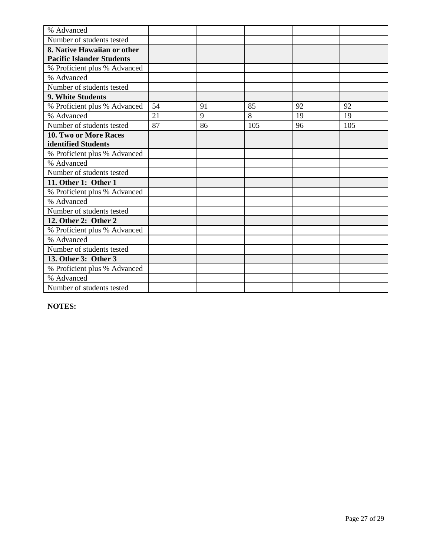| % Advanced                       |    |    |     |    |     |
|----------------------------------|----|----|-----|----|-----|
| Number of students tested        |    |    |     |    |     |
| 8. Native Hawaiian or other      |    |    |     |    |     |
| <b>Pacific Islander Students</b> |    |    |     |    |     |
| % Proficient plus % Advanced     |    |    |     |    |     |
| % Advanced                       |    |    |     |    |     |
| Number of students tested        |    |    |     |    |     |
| <b>9. White Students</b>         |    |    |     |    |     |
| % Proficient plus % Advanced     | 54 | 91 | 85  | 92 | 92  |
| % Advanced                       | 21 | 9  | 8   | 19 | 19  |
| Number of students tested        | 87 | 86 | 105 | 96 | 105 |
| <b>10. Two or More Races</b>     |    |    |     |    |     |
| identified Students              |    |    |     |    |     |
| % Proficient plus % Advanced     |    |    |     |    |     |
| % Advanced                       |    |    |     |    |     |
| Number of students tested        |    |    |     |    |     |
| 11. Other 1: Other 1             |    |    |     |    |     |
| % Proficient plus % Advanced     |    |    |     |    |     |
| % Advanced                       |    |    |     |    |     |
| Number of students tested        |    |    |     |    |     |
| 12. Other 2: Other 2             |    |    |     |    |     |
| % Proficient plus % Advanced     |    |    |     |    |     |
| % Advanced                       |    |    |     |    |     |
| Number of students tested        |    |    |     |    |     |
| 13. Other 3: Other 3             |    |    |     |    |     |
| % Proficient plus % Advanced     |    |    |     |    |     |
| % Advanced                       |    |    |     |    |     |
| Number of students tested        |    |    |     |    |     |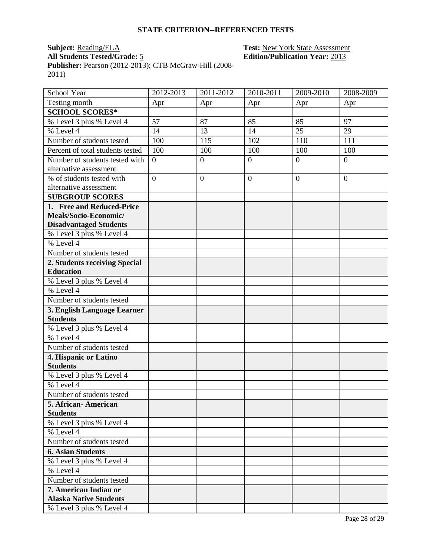## **Subject:** <u>Reading/ELA</u> **Test:** <u>New York State Assessment</u><br>All Students Tested/Grade: 5 **Edition/Publication Year:** 2013 **Edition/Publication Year: 2013**

**Publisher:** <u>Pearson (2012-2013); CTB McGraw-Hill (2008-</u> 2011)

| School Year                                            | 2012-2013      | $2011 - 2012$    | 2010-2011        | 2009-2010        | 2008-2009      |
|--------------------------------------------------------|----------------|------------------|------------------|------------------|----------------|
| Testing month                                          | Apr            | Apr              | Apr              | Apr              | Apr            |
| <b>SCHOOL SCORES*</b>                                  |                |                  |                  |                  |                |
| % Level 3 plus % Level 4                               | 57             | 87               | 85               | 85               | 97             |
| $%$ Level 4                                            | 14             | 13               | 14               | 25               | 29             |
| Number of students tested                              | 100            | 115              | 102              | 110              | 111            |
| Percent of total students tested                       | 100            | 100              | 100              | 100              | 100            |
| Number of students tested with                         | $\theta$       | $\boldsymbol{0}$ | $\overline{0}$   | $\boldsymbol{0}$ | $\overline{0}$ |
| alternative assessment                                 |                |                  |                  |                  |                |
| % of students tested with                              | $\overline{0}$ | $\overline{0}$   | $\boldsymbol{0}$ | $\overline{0}$   | $\overline{0}$ |
| alternative assessment                                 |                |                  |                  |                  |                |
| <b>SUBGROUP SCORES</b>                                 |                |                  |                  |                  |                |
| 1. Free and Reduced-Price                              |                |                  |                  |                  |                |
| Meals/Socio-Economic/<br><b>Disadvantaged Students</b> |                |                  |                  |                  |                |
| % Level 3 plus % Level 4                               |                |                  |                  |                  |                |
| % Level 4                                              |                |                  |                  |                  |                |
| Number of students tested                              |                |                  |                  |                  |                |
| 2. Students receiving Special                          |                |                  |                  |                  |                |
| <b>Education</b>                                       |                |                  |                  |                  |                |
| % Level 3 plus % Level 4                               |                |                  |                  |                  |                |
| % Level 4                                              |                |                  |                  |                  |                |
| Number of students tested                              |                |                  |                  |                  |                |
| 3. English Language Learner                            |                |                  |                  |                  |                |
| <b>Students</b>                                        |                |                  |                  |                  |                |
| % Level 3 plus % Level 4                               |                |                  |                  |                  |                |
| % Level 4                                              |                |                  |                  |                  |                |
| Number of students tested                              |                |                  |                  |                  |                |
| 4. Hispanic or Latino                                  |                |                  |                  |                  |                |
| <b>Students</b>                                        |                |                  |                  |                  |                |
| % Level 3 plus % Level 4                               |                |                  |                  |                  |                |
| % Level 4                                              |                |                  |                  |                  |                |
| Number of students tested                              |                |                  |                  |                  |                |
| 5. African-American                                    |                |                  |                  |                  |                |
| <b>Students</b>                                        |                |                  |                  |                  |                |
| % Level 3 plus % Level 4                               |                |                  |                  |                  |                |
| % Level 4                                              |                |                  |                  |                  |                |
| Number of students tested                              |                |                  |                  |                  |                |
| <b>6. Asian Students</b>                               |                |                  |                  |                  |                |
| % Level 3 plus % Level 4                               |                |                  |                  |                  |                |
| % Level 4                                              |                |                  |                  |                  |                |
| Number of students tested                              |                |                  |                  |                  |                |
| 7. American Indian or                                  |                |                  |                  |                  |                |
| <b>Alaska Native Students</b>                          |                |                  |                  |                  |                |
| % Level 3 plus % Level 4                               |                |                  |                  |                  |                |